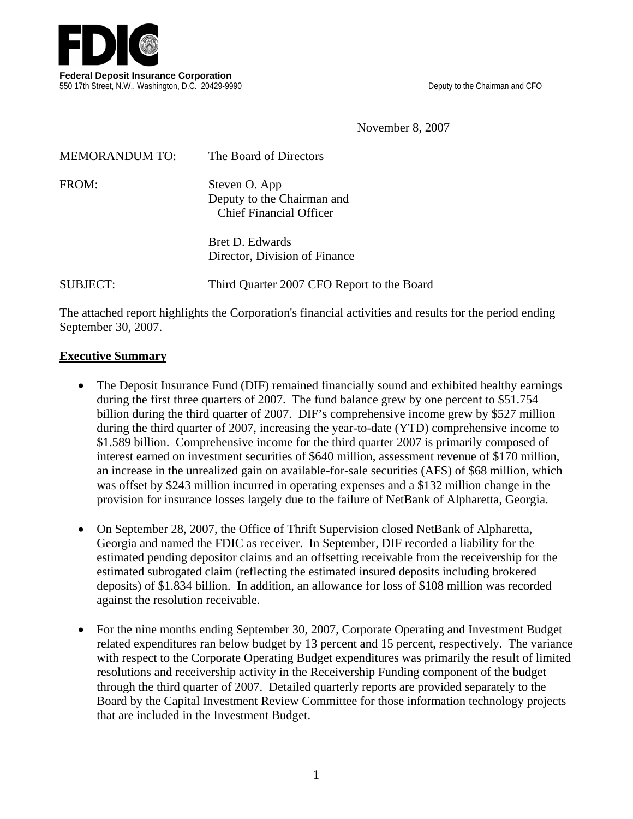

November 8, 2007

| <b>MEMORANDUM TO:</b> | The Board of Directors                                                        |
|-----------------------|-------------------------------------------------------------------------------|
| FROM:                 | Steven O. App<br>Deputy to the Chairman and<br><b>Chief Financial Officer</b> |
|                       | Bret D. Edwards<br>Director, Division of Finance                              |

SUBJECT: Third Quarter 2007 CFO Report to the Board

The attached report highlights the Corporation's financial activities and results for the period ending September 30, 2007.

#### **Executive Summary**

- The Deposit Insurance Fund (DIF) remained financially sound and exhibited healthy earnings during the first three quarters of 2007. The fund balance grew by one percent to \$51.754 billion during the third quarter of 2007. DIF's comprehensive income grew by \$527 million during the third quarter of 2007, increasing the year-to-date (YTD) comprehensive income to \$1.589 billion. Comprehensive income for the third quarter 2007 is primarily composed of interest earned on investment securities of \$640 million, assessment revenue of \$170 million, an increase in the unrealized gain on available-for-sale securities (AFS) of \$68 million, which was offset by \$243 million incurred in operating expenses and a \$132 million change in the provision for insurance losses largely due to the failure of NetBank of Alpharetta, Georgia.
- On September 28, 2007, the Office of Thrift Supervision closed NetBank of Alpharetta, Georgia and named the FDIC as receiver. In September, DIF recorded a liability for the estimated pending depositor claims and an offsetting receivable from the receivership for the estimated subrogated claim (reflecting the estimated insured deposits including brokered deposits) of \$1.834 billion. In addition, an allowance for loss of \$108 million was recorded against the resolution receivable.
- For the nine months ending September 30, 2007, Corporate Operating and Investment Budget related expenditures ran below budget by 13 percent and 15 percent, respectively. The variance with respect to the Corporate Operating Budget expenditures was primarily the result of limited resolutions and receivership activity in the Receivership Funding component of the budget through the third quarter of 2007. Detailed quarterly reports are provided separately to the Board by the Capital Investment Review Committee for those information technology projects that are included in the Investment Budget.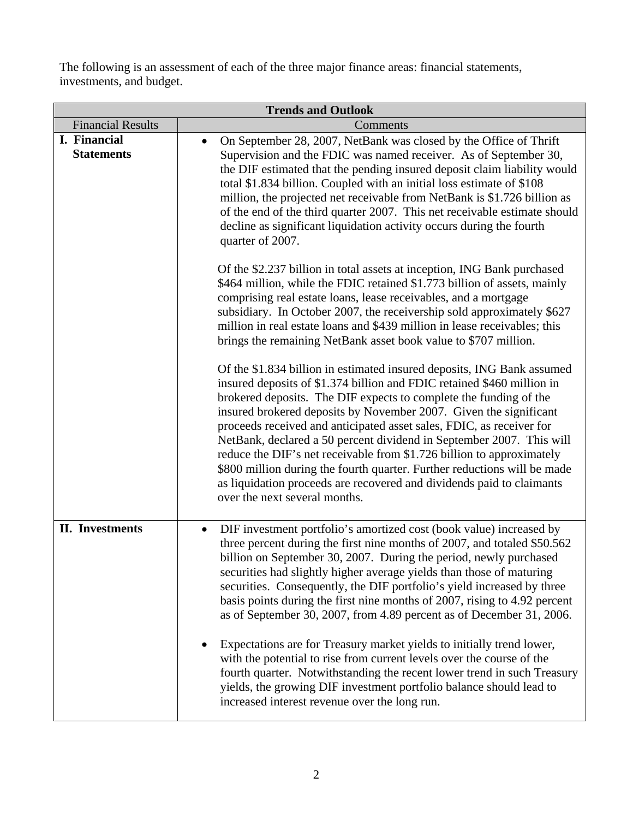The following is an assessment of each of the three major finance areas: financial statements, investments, and budget.

| <b>Trends and Outlook</b>         |                                                                                                                                                                                                                                                                                                                                                                                                                                                                                                                                                                                                                                                                           |  |  |  |  |
|-----------------------------------|---------------------------------------------------------------------------------------------------------------------------------------------------------------------------------------------------------------------------------------------------------------------------------------------------------------------------------------------------------------------------------------------------------------------------------------------------------------------------------------------------------------------------------------------------------------------------------------------------------------------------------------------------------------------------|--|--|--|--|
| <b>Financial Results</b>          | Comments                                                                                                                                                                                                                                                                                                                                                                                                                                                                                                                                                                                                                                                                  |  |  |  |  |
| I. Financial<br><b>Statements</b> | On September 28, 2007, NetBank was closed by the Office of Thrift<br>$\bullet$<br>Supervision and the FDIC was named receiver. As of September 30,<br>the DIF estimated that the pending insured deposit claim liability would<br>total \$1.834 billion. Coupled with an initial loss estimate of \$108<br>million, the projected net receivable from NetBank is \$1.726 billion as<br>of the end of the third quarter 2007. This net receivable estimate should<br>decline as significant liquidation activity occurs during the fourth<br>quarter of 2007.                                                                                                              |  |  |  |  |
|                                   | Of the \$2.237 billion in total assets at inception, ING Bank purchased<br>\$464 million, while the FDIC retained \$1.773 billion of assets, mainly<br>comprising real estate loans, lease receivables, and a mortgage<br>subsidiary. In October 2007, the receivership sold approximately \$627<br>million in real estate loans and \$439 million in lease receivables; this<br>brings the remaining NetBank asset book value to \$707 million.<br>Of the \$1.834 billion in estimated insured deposits, ING Bank assumed<br>insured deposits of \$1.374 billion and FDIC retained \$460 million in<br>brokered deposits. The DIF expects to complete the funding of the |  |  |  |  |
|                                   | insured brokered deposits by November 2007. Given the significant<br>proceeds received and anticipated asset sales, FDIC, as receiver for<br>NetBank, declared a 50 percent dividend in September 2007. This will<br>reduce the DIF's net receivable from \$1.726 billion to approximately<br>\$800 million during the fourth quarter. Further reductions will be made<br>as liquidation proceeds are recovered and dividends paid to claimants<br>over the next several months.                                                                                                                                                                                          |  |  |  |  |
| <b>II.</b> Investments            | DIF investment portfolio's amortized cost (book value) increased by<br>three percent during the first nine months of 2007, and totaled \$50.562<br>billion on September 30, 2007. During the period, newly purchased<br>securities had slightly higher average yields than those of maturing<br>securities. Consequently, the DIF portfolio's yield increased by three<br>basis points during the first nine months of 2007, rising to 4.92 percent<br>as of September 30, 2007, from 4.89 percent as of December 31, 2006.                                                                                                                                               |  |  |  |  |
|                                   | Expectations are for Treasury market yields to initially trend lower,<br>with the potential to rise from current levels over the course of the<br>fourth quarter. Notwithstanding the recent lower trend in such Treasury<br>yields, the growing DIF investment portfolio balance should lead to<br>increased interest revenue over the long run.                                                                                                                                                                                                                                                                                                                         |  |  |  |  |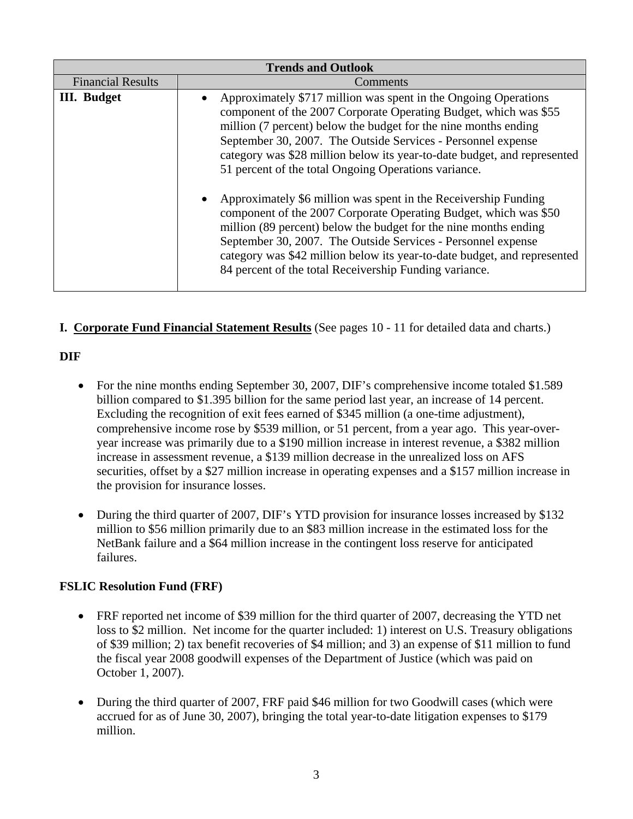| <b>Trends and Outlook</b> |                                                                                                                                                                                                                                                                                                                                                                                                                                                                                                                                                                                                                                                                                                                                                                                                                             |  |  |  |  |  |
|---------------------------|-----------------------------------------------------------------------------------------------------------------------------------------------------------------------------------------------------------------------------------------------------------------------------------------------------------------------------------------------------------------------------------------------------------------------------------------------------------------------------------------------------------------------------------------------------------------------------------------------------------------------------------------------------------------------------------------------------------------------------------------------------------------------------------------------------------------------------|--|--|--|--|--|
| <b>Financial Results</b>  | Comments                                                                                                                                                                                                                                                                                                                                                                                                                                                                                                                                                                                                                                                                                                                                                                                                                    |  |  |  |  |  |
| <b>III.</b> Budget        | Approximately \$717 million was spent in the Ongoing Operations<br>component of the 2007 Corporate Operating Budget, which was \$55<br>million (7 percent) below the budget for the nine months ending<br>September 30, 2007. The Outside Services - Personnel expense<br>category was \$28 million below its year-to-date budget, and represented<br>51 percent of the total Ongoing Operations variance.<br>Approximately \$6 million was spent in the Receivership Funding<br>component of the 2007 Corporate Operating Budget, which was \$50<br>million (89 percent) below the budget for the nine months ending<br>September 30, 2007. The Outside Services - Personnel expense<br>category was \$42 million below its year-to-date budget, and represented<br>84 percent of the total Receivership Funding variance. |  |  |  |  |  |
|                           |                                                                                                                                                                                                                                                                                                                                                                                                                                                                                                                                                                                                                                                                                                                                                                                                                             |  |  |  |  |  |

#### **I. Corporate Fund Financial Statement Results** (See pages 10 - 11 for detailed data and charts.)

#### **DIF**

- For the nine months ending September 30, 2007, DIF's comprehensive income totaled \$1.589 billion compared to \$1.395 billion for the same period last year, an increase of 14 percent. Excluding the recognition of exit fees earned of \$345 million (a one-time adjustment), comprehensive income rose by \$539 million, or 51 percent, from a year ago. This year-overyear increase was primarily due to a \$190 million increase in interest revenue, a \$382 million increase in assessment revenue, a \$139 million decrease in the unrealized loss on AFS securities, offset by a \$27 million increase in operating expenses and a \$157 million increase in the provision for insurance losses.
- During the third quarter of 2007, DIF's YTD provision for insurance losses increased by \$132 million to \$56 million primarily due to an \$83 million increase in the estimated loss for the NetBank failure and a \$64 million increase in the contingent loss reserve for anticipated failures.

#### **FSLIC Resolution Fund (FRF)**

- FRF reported net income of \$39 million for the third quarter of 2007, decreasing the YTD net loss to \$2 million. Net income for the quarter included: 1) interest on U.S. Treasury obligations of \$39 million; 2) tax benefit recoveries of \$4 million; and 3) an expense of \$11 million to fund the fiscal year 2008 goodwill expenses of the Department of Justice (which was paid on October 1, 2007).
- During the third quarter of 2007, FRF paid \$46 million for two Goodwill cases (which were accrued for as of June 30, 2007), bringing the total year-to-date litigation expenses to \$179 million.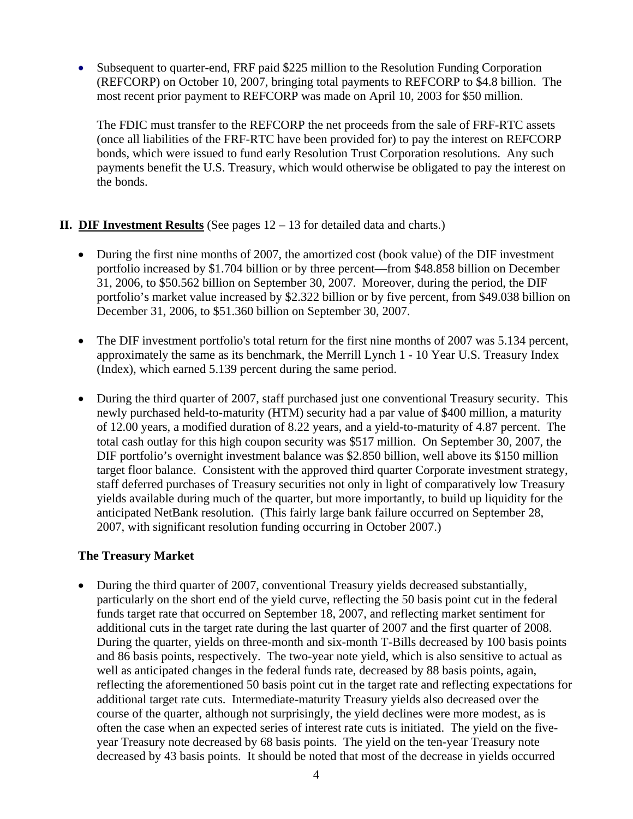• Subsequent to quarter-end, FRF paid \$225 million to the Resolution Funding Corporation (REFCORP) on October 10, 2007, bringing total payments to REFCORP to \$4.8 billion. The most recent prior payment to REFCORP was made on April 10, 2003 for \$50 million.

The FDIC must transfer to the REFCORP the net proceeds from the sale of FRF-RTC assets (once all liabilities of the FRF-RTC have been provided for) to pay the interest on REFCORP bonds, which were issued to fund early Resolution Trust Corporation resolutions. Any such payments benefit the U.S. Treasury, which would otherwise be obligated to pay the interest on the bonds.

#### **II. DIF Investment Results** (See pages 12 – 13 for detailed data and charts.)

- During the first nine months of 2007, the amortized cost (book value) of the DIF investment portfolio increased by \$1.704 billion or by three percent—from \$48.858 billion on December 31, 2006, to \$50.562 billion on September 30, 2007. Moreover, during the period, the DIF portfolio's market value increased by \$2.322 billion or by five percent, from \$49.038 billion on December 31, 2006, to \$51.360 billion on September 30, 2007.
- The DIF investment portfolio's total return for the first nine months of 2007 was 5.134 percent, approximately the same as its benchmark, the Merrill Lynch 1 - 10 Year U.S. Treasury Index (Index), which earned 5.139 percent during the same period.
- During the third quarter of 2007, staff purchased just one conventional Treasury security. This newly purchased held-to-maturity (HTM) security had a par value of \$400 million, a maturity of 12.00 years, a modified duration of 8.22 years, and a yield-to-maturity of 4.87 percent. The total cash outlay for this high coupon security was \$517 million. On September 30, 2007, the DIF portfolio's overnight investment balance was \$2.850 billion, well above its \$150 million target floor balance. Consistent with the approved third quarter Corporate investment strategy, staff deferred purchases of Treasury securities not only in light of comparatively low Treasury yields available during much of the quarter, but more importantly, to build up liquidity for the anticipated NetBank resolution. (This fairly large bank failure occurred on September 28, 2007, with significant resolution funding occurring in October 2007.)

#### **The Treasury Market**

• During the third quarter of 2007, conventional Treasury yields decreased substantially, particularly on the short end of the yield curve, reflecting the 50 basis point cut in the federal funds target rate that occurred on September 18, 2007, and reflecting market sentiment for additional cuts in the target rate during the last quarter of 2007 and the first quarter of 2008. During the quarter, yields on three-month and six-month T-Bills decreased by 100 basis points and 86 basis points, respectively. The two-year note yield, which is also sensitive to actual as well as anticipated changes in the federal funds rate, decreased by 88 basis points, again, reflecting the aforementioned 50 basis point cut in the target rate and reflecting expectations for additional target rate cuts. Intermediate-maturity Treasury yields also decreased over the course of the quarter, although not surprisingly, the yield declines were more modest, as is often the case when an expected series of interest rate cuts is initiated. The yield on the fiveyear Treasury note decreased by 68 basis points. The yield on the ten-year Treasury note decreased by 43 basis points. It should be noted that most of the decrease in yields occurred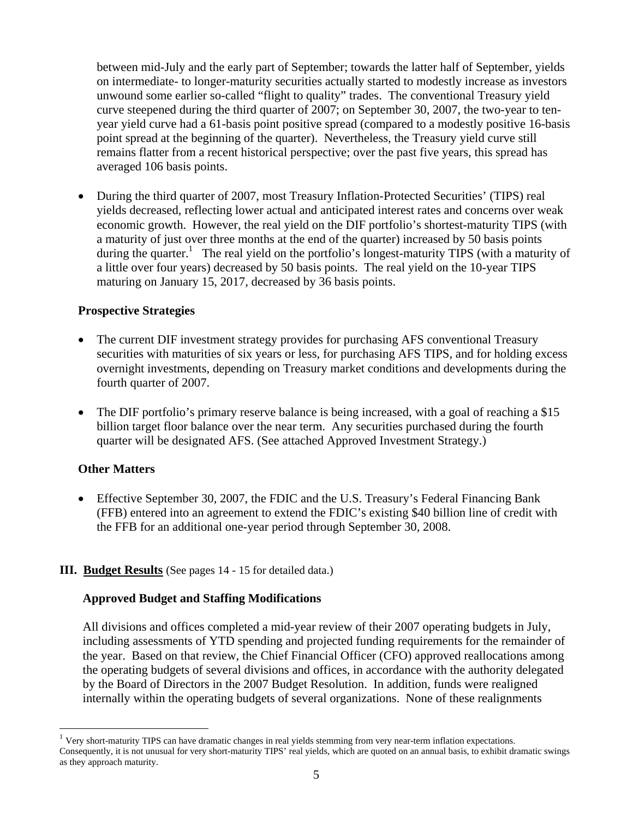between mid-July and the early part of September; towards the latter half of September, yields on intermediate- to longer-maturity securities actually started to modestly increase as investors unwound some earlier so-called "flight to quality" trades. The conventional Treasury yield curve steepened during the third quarter of 2007; on September 30, 2007, the two-year to tenyear yield curve had a 61-basis point positive spread (compared to a modestly positive 16-basis point spread at the beginning of the quarter). Nevertheless, the Treasury yield curve still remains flatter from a recent historical perspective; over the past five years, this spread has averaged 106 basis points.

• During the third quarter of 2007, most Treasury Inflation-Protected Securities' (TIPS) real yields decreased, reflecting lower actual and anticipated interest rates and concerns over weak economic growth. However, the real yield on the DIF portfolio's shortest-maturity TIPS (with a maturity of just over three months at the end of the quarter) increased by 50 basis points during the quarter.<sup>1</sup> The real yield on the portfolio's longest-maturity TIPS (with a maturity of a little over four years) decreased by 50 basis points. The real yield on the 10-year TIPS maturing on January 15, 2017, decreased by 36 basis points.

#### **Prospective Strategies**

- The current DIF investment strategy provides for purchasing AFS conventional Treasury securities with maturities of six years or less, for purchasing AFS TIPS, and for holding excess overnight investments, depending on Treasury market conditions and developments during the fourth quarter of 2007.
- The DIF portfolio's primary reserve balance is being increased, with a goal of reaching a \$15 billion target floor balance over the near term. Any securities purchased during the fourth quarter will be designated AFS. (See attached Approved Investment Strategy.)

#### **Other Matters**

 $\overline{a}$ 

• Effective September 30, 2007, the FDIC and the U.S. Treasury's Federal Financing Bank (FFB) entered into an agreement to extend the FDIC's existing \$40 billion line of credit with the FFB for an additional one-year period through September 30, 2008.

#### **III. Budget Results** (See pages 14 - 15 for detailed data.)

#### **Approved Budget and Staffing Modifications**

All divisions and offices completed a mid-year review of their 2007 operating budgets in July, including assessments of YTD spending and projected funding requirements for the remainder of the year. Based on that review, the Chief Financial Officer (CFO) approved reallocations among the operating budgets of several divisions and offices, in accordance with the authority delegated by the Board of Directors in the 2007 Budget Resolution. In addition, funds were realigned internally within the operating budgets of several organizations. None of these realignments

<sup>&</sup>lt;sup>1</sup> Very short-maturity TIPS can have dramatic changes in real yields stemming from very near-term inflation expectations. Consequently, it is not unusual for very short-maturity TIPS' real yields, which are quoted on an annual basis, to exhibit dramatic swings as they approach maturity.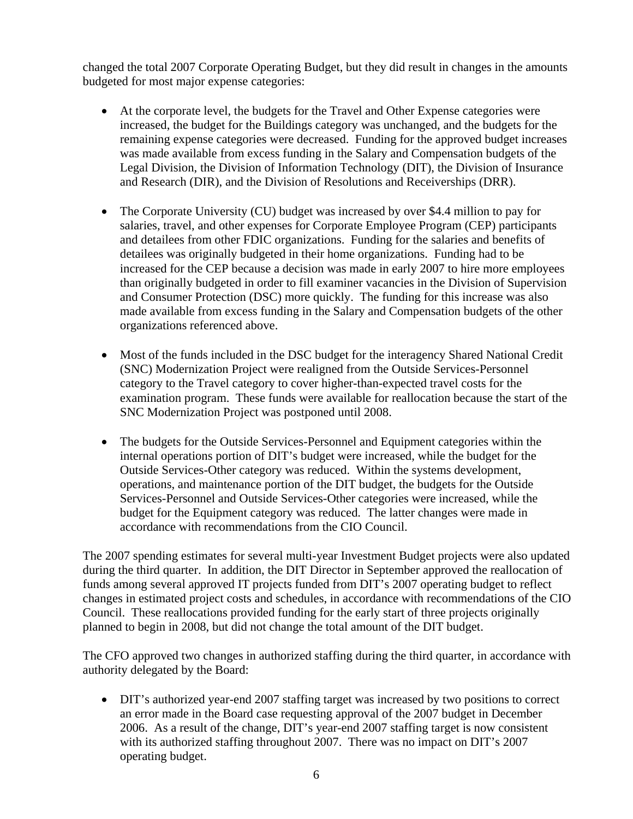changed the total 2007 Corporate Operating Budget, but they did result in changes in the amounts budgeted for most major expense categories:

- At the corporate level, the budgets for the Travel and Other Expense categories were increased, the budget for the Buildings category was unchanged, and the budgets for the remaining expense categories were decreased. Funding for the approved budget increases was made available from excess funding in the Salary and Compensation budgets of the Legal Division, the Division of Information Technology (DIT), the Division of Insurance and Research (DIR), and the Division of Resolutions and Receiverships (DRR).
- The Corporate University (CU) budget was increased by over \$4.4 million to pay for salaries, travel, and other expenses for Corporate Employee Program (CEP) participants and detailees from other FDIC organizations. Funding for the salaries and benefits of detailees was originally budgeted in their home organizations. Funding had to be increased for the CEP because a decision was made in early 2007 to hire more employees than originally budgeted in order to fill examiner vacancies in the Division of Supervision and Consumer Protection (DSC) more quickly. The funding for this increase was also made available from excess funding in the Salary and Compensation budgets of the other organizations referenced above.
- Most of the funds included in the DSC budget for the interagency Shared National Credit (SNC) Modernization Project were realigned from the Outside Services-Personnel category to the Travel category to cover higher-than-expected travel costs for the examination program. These funds were available for reallocation because the start of the SNC Modernization Project was postponed until 2008.
- The budgets for the Outside Services-Personnel and Equipment categories within the internal operations portion of DIT's budget were increased, while the budget for the Outside Services-Other category was reduced. Within the systems development, operations, and maintenance portion of the DIT budget, the budgets for the Outside Services-Personnel and Outside Services-Other categories were increased, while the budget for the Equipment category was reduced. The latter changes were made in accordance with recommendations from the CIO Council.

The 2007 spending estimates for several multi-year Investment Budget projects were also updated during the third quarter. In addition, the DIT Director in September approved the reallocation of funds among several approved IT projects funded from DIT's 2007 operating budget to reflect changes in estimated project costs and schedules, in accordance with recommendations of the CIO Council. These reallocations provided funding for the early start of three projects originally planned to begin in 2008, but did not change the total amount of the DIT budget.

The CFO approved two changes in authorized staffing during the third quarter, in accordance with authority delegated by the Board:

• DIT's authorized year-end 2007 staffing target was increased by two positions to correct an error made in the Board case requesting approval of the 2007 budget in December 2006. As a result of the change, DIT's year-end 2007 staffing target is now consistent with its authorized staffing throughout 2007. There was no impact on DIT's 2007 operating budget.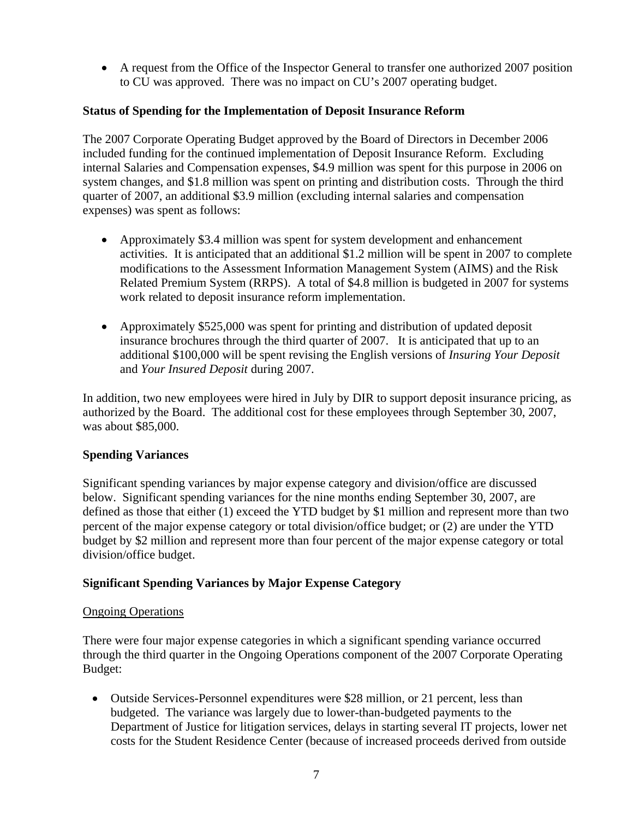• A request from the Office of the Inspector General to transfer one authorized 2007 position to CU was approved. There was no impact on CU's 2007 operating budget.

#### **Status of Spending for the Implementation of Deposit Insurance Reform**

The 2007 Corporate Operating Budget approved by the Board of Directors in December 2006 included funding for the continued implementation of Deposit Insurance Reform. Excluding internal Salaries and Compensation expenses, \$4.9 million was spent for this purpose in 2006 on system changes, and \$1.8 million was spent on printing and distribution costs. Through the third quarter of 2007, an additional \$3.9 million (excluding internal salaries and compensation expenses) was spent as follows:

- Approximately \$3.4 million was spent for system development and enhancement activities. It is anticipated that an additional \$1.2 million will be spent in 2007 to complete modifications to the Assessment Information Management System (AIMS) and the Risk Related Premium System (RRPS). A total of \$4.8 million is budgeted in 2007 for systems work related to deposit insurance reform implementation.
- Approximately \$525,000 was spent for printing and distribution of updated deposit insurance brochures through the third quarter of 2007. It is anticipated that up to an additional \$100,000 will be spent revising the English versions of *Insuring Your Deposit* and *Your Insured Deposit* during 2007.

In addition, two new employees were hired in July by DIR to support deposit insurance pricing, as authorized by the Board. The additional cost for these employees through September 30, 2007, was about \$85,000.

#### **Spending Variances**

Significant spending variances by major expense category and division/office are discussed below. Significant spending variances for the nine months ending September 30, 2007, are defined as those that either (1) exceed the YTD budget by \$1 million and represent more than two percent of the major expense category or total division/office budget; or (2) are under the YTD budget by \$2 million and represent more than four percent of the major expense category or total division/office budget.

#### **Significant Spending Variances by Major Expense Category**

#### Ongoing Operations

There were four major expense categories in which a significant spending variance occurred through the third quarter in the Ongoing Operations component of the 2007 Corporate Operating Budget:

• Outside Services-Personnel expenditures were \$28 million, or 21 percent, less than budgeted. The variance was largely due to lower-than-budgeted payments to the Department of Justice for litigation services, delays in starting several IT projects, lower net costs for the Student Residence Center (because of increased proceeds derived from outside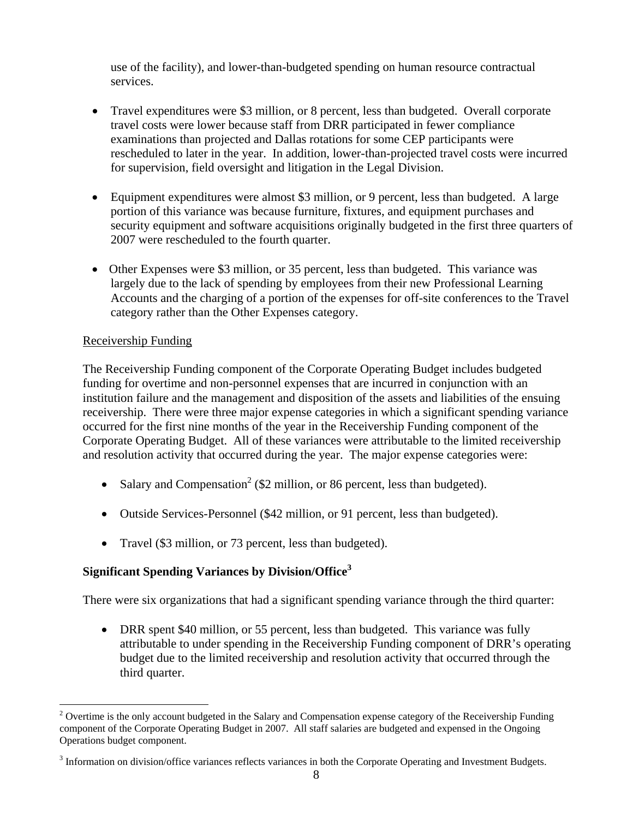use of the facility), and lower-than-budgeted spending on human resource contractual services.

- Travel expenditures were \$3 million, or 8 percent, less than budgeted. Overall corporate travel costs were lower because staff from DRR participated in fewer compliance examinations than projected and Dallas rotations for some CEP participants were rescheduled to later in the year. In addition, lower-than-projected travel costs were incurred for supervision, field oversight and litigation in the Legal Division.
- Equipment expenditures were almost \$3 million, or 9 percent, less than budgeted. A large portion of this variance was because furniture, fixtures, and equipment purchases and security equipment and software acquisitions originally budgeted in the first three quarters of 2007 were rescheduled to the fourth quarter.
- Other Expenses were \$3 million, or 35 percent, less than budgeted. This variance was largely due to the lack of spending by employees from their new Professional Learning Accounts and the charging of a portion of the expenses for off-site conferences to the Travel category rather than the Other Expenses category.

#### Receivership Funding

 $\overline{a}$ 

The Receivership Funding component of the Corporate Operating Budget includes budgeted funding for overtime and non-personnel expenses that are incurred in conjunction with an institution failure and the management and disposition of the assets and liabilities of the ensuing receivership. There were three major expense categories in which a significant spending variance occurred for the first nine months of the year in the Receivership Funding component of the Corporate Operating Budget. All of these variances were attributable to the limited receivership and resolution activity that occurred during the year. The major expense categories were:

- Salary and Compensation<sup>2</sup> (\$2 million, or 86 percent, less than budgeted).
- Outside Services-Personnel (\$42 million, or 91 percent, less than budgeted).
- Travel (\$3 million, or 73 percent, less than budgeted).

#### **Significant Spending Variances by Division/Office<sup>3</sup>**

There were six organizations that had a significant spending variance through the third quarter:

• DRR spent \$40 million, or 55 percent, less than budgeted. This variance was fully attributable to under spending in the Receivership Funding component of DRR's operating budget due to the limited receivership and resolution activity that occurred through the third quarter.

 $2$  Overtime is the only account budgeted in the Salary and Compensation expense category of the Receivership Funding component of the Corporate Operating Budget in 2007. All staff salaries are budgeted and expensed in the Ongoing Operations budget component.

 $3$  Information on division/office variances reflects variances in both the Corporate Operating and Investment Budgets.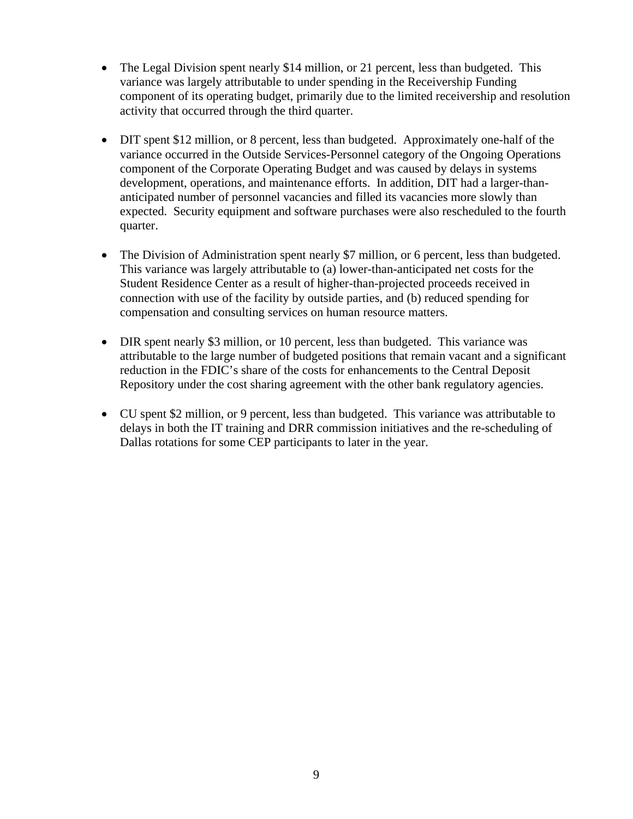- The Legal Division spent nearly \$14 million, or 21 percent, less than budgeted. This variance was largely attributable to under spending in the Receivership Funding component of its operating budget, primarily due to the limited receivership and resolution activity that occurred through the third quarter.
- DIT spent \$12 million, or 8 percent, less than budgeted. Approximately one-half of the variance occurred in the Outside Services-Personnel category of the Ongoing Operations component of the Corporate Operating Budget and was caused by delays in systems development, operations, and maintenance efforts. In addition, DIT had a larger-thananticipated number of personnel vacancies and filled its vacancies more slowly than expected. Security equipment and software purchases were also rescheduled to the fourth quarter.
- The Division of Administration spent nearly \$7 million, or 6 percent, less than budgeted. This variance was largely attributable to (a) lower-than-anticipated net costs for the Student Residence Center as a result of higher-than-projected proceeds received in connection with use of the facility by outside parties, and (b) reduced spending for compensation and consulting services on human resource matters.
- DIR spent nearly \$3 million, or 10 percent, less than budgeted. This variance was attributable to the large number of budgeted positions that remain vacant and a significant reduction in the FDIC's share of the costs for enhancements to the Central Deposit Repository under the cost sharing agreement with the other bank regulatory agencies.
- CU spent \$2 million, or 9 percent, less than budgeted. This variance was attributable to delays in both the IT training and DRR commission initiatives and the re-scheduling of Dallas rotations for some CEP participants to later in the year.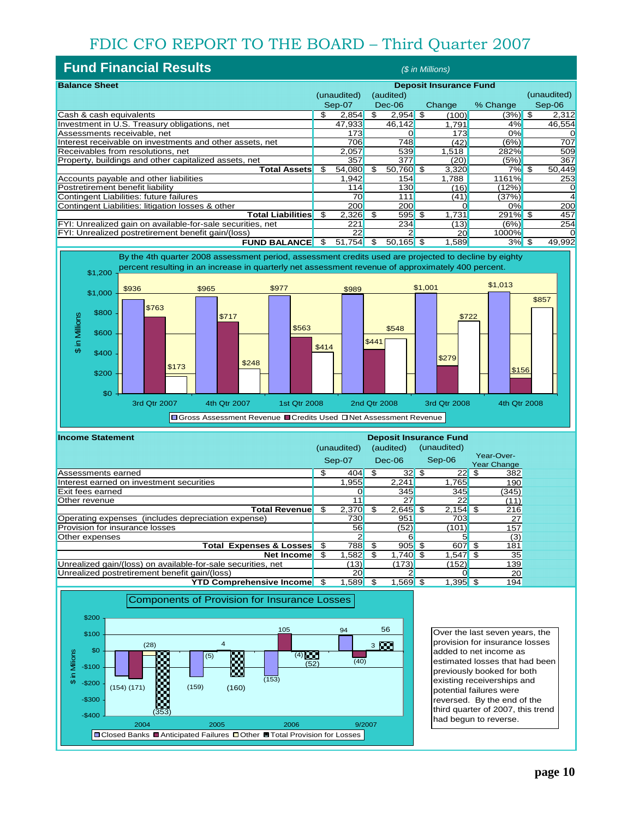# FDIC CFO REPORT TO THE BOARD – Third Quarter 2007

| <b>Fund Financial Results</b>                              |                               |             |     |             | (\$ in Millions) |                   |               |
|------------------------------------------------------------|-------------------------------|-------------|-----|-------------|------------------|-------------------|---------------|
| <b>Balance Sheet</b>                                       | <b>Deposit Insurance Fund</b> |             |     |             |                  |                   |               |
|                                                            |                               | (unaudited) |     | (audited)   |                  |                   | (unaudited)   |
|                                                            |                               | Sep-07      |     | Dec-06      | Change           | % Change          | Sep-06        |
| Cash & cash equivalents                                    | \$                            | 2.854       | \$. | $2,954$ \$  | (100)            | $(3%)$ \$         | 2,312         |
| Investment in U.S. Treasury obligations, net               |                               | 47,933      |     | 46,142      | 1.791            | 4%                | 46,554        |
| Assessments receivable, net                                |                               | 173         |     |             | 173              | 0%                | O             |
| Interest receivable on investments and other assets, net   |                               | 706         |     | 748         | (42)             | (6%)              | 707           |
| Receivables from resolutions, net                          |                               | 2.057       |     | 539         | 1.518            | 282%              | 509           |
| Property, buildings and other capitalized assets, net      |                               | 357         |     | 377         | (20)             | (5%)              | 367           |
| Total Assets                                               | \$                            | 54,080      | \$  | 50,760 \$   | 3,320            | 7% \$             | 50,449        |
| Accounts payable and other liabilities                     |                               | 1.942       |     | 154         | 1.788            | 1161%             | 253           |
| Postretirement benefit liability                           |                               | 114         |     | 130         | (16)             | 12%               |               |
| Contingent Liabilities: future failures                    |                               | 70          |     | 111         | (41)             | (37%)             |               |
| Contingent Liabilities: litigation losses & other          |                               | 200         |     | 200         |                  | 0%                | 200           |
| Total Liabilities <mark>l</mark>                           | \$                            | 2,326       | -\$ | $595$ \$    | 1.731            | 291% <sup>S</sup> | 457           |
| FYI: Unrealized gain on available-for-sale securities, net |                               | 221         |     | 234         | (13)             | (6%)              | 254           |
| FYI: Unrealized postretirement benefit gain/(loss)         |                               | 22          |     |             | 20               | 1000%             |               |
| <b>FUND BALANCEI</b>                                       | S                             | 51.754      | \$. | $50,165$ \$ | 1.589            | 3%                | -\$<br>49,992 |



| <b>Income Statement</b>                                      | <b>Deposit Insurance Fund</b> |             |    |            |      |             |      |                                  |
|--------------------------------------------------------------|-------------------------------|-------------|----|------------|------|-------------|------|----------------------------------|
|                                                              |                               | (unaudited) |    | (audited)  |      | (unaudited) |      |                                  |
|                                                              |                               | Sep-07      |    | $Dec-06$   |      | Sep-06      |      | Year-Over-<br><b>Year Change</b> |
| Assessments earned                                           | \$                            | 404         | \$ | 32         | -\$  | 22          | \$.  | 382                              |
| Interest earned on investment securities                     |                               | 1.955       |    | 2,241      |      | 1.765       |      | 190                              |
| Exit fees earned                                             |                               |             |    | 345        |      | 345         |      | (345)                            |
| Other revenue                                                |                               | 11          |    | 27         |      | 22          |      | (11)                             |
| <b>Total Revenue</b>                                         | \$                            | 2,370       | \$ | $2,645$ \$ |      | $2,154$ \$  |      | 216                              |
| Operating expenses (includes depreciation expense)           |                               | 730         |    | 951        |      | 703         |      | 27                               |
| <b>Provision for insurance losses</b>                        |                               | 56          |    | (52)       |      | (101)       |      | 157                              |
| Other expenses                                               |                               |             |    |            |      | 5           |      | (3)                              |
| <b>Total Expenses &amp; Losses</b>                           | \$                            | 788         |    | 905        | -\$  | 607         |      | 181                              |
| <b>Net Income</b>                                            | \$                            | 1.582       | \$ | 1.740      | - \$ | 1.547       | - \$ | 35                               |
| Unrealized gain/(loss) on available-for-sale securities, net |                               | (13)        |    | (173)      |      | (152)       |      | 139                              |
| Unrealized postretirement benefit gain/(loss)                |                               | 20          |    |            |      | 0           |      | 20                               |
| <b>YTD Comprehensive Income</b>                              | \$                            | 1.589       |    | 1.569      | \$   | 1.395       |      | 194                              |



Over the last seven years, the provision for insurance losses added to net income as estimated losses that had been previously booked for both existing receiverships and potential failures were reversed. By the end of the third quarter of 2007, this trend had begun to reverse.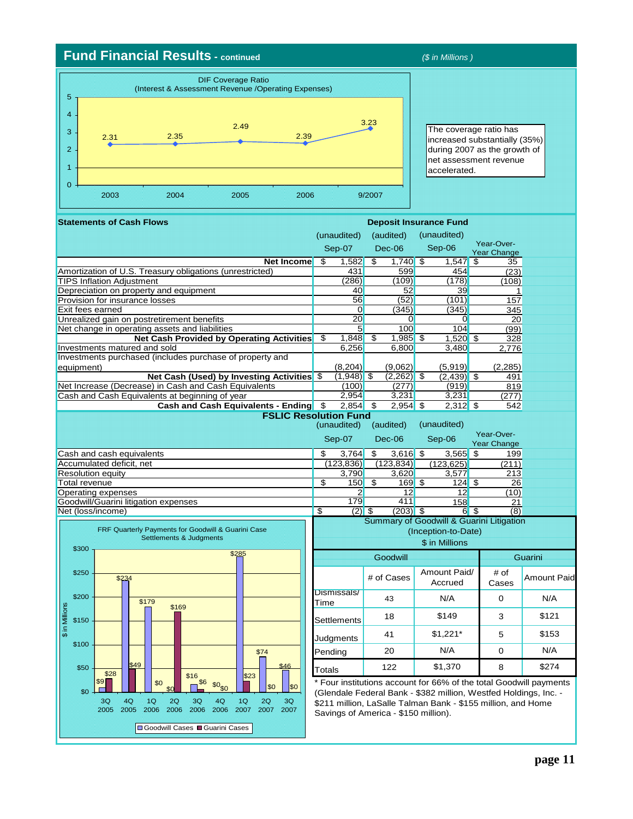#### **Fund Financial Results - continued** *(\$ in Millions )*

\$16

3Q 2006 2006  $4<sub>Q</sub>$ 

Goodwill Cases Guarini Cases

\$0<sub>c</sub>

\$6

\$9 \$0

 $1<sub>O</sub>$ 2006

\$49

4Q 2005

\$28

3Q 2005

 $$0$ 

\$50

\$100

\$150

\$ in Millions

₹  $\frac{1}{2}$  \$200

\$250

\$300

\$0

\$0

2Q 2006



 $\frac{1,520}{3,480}$   $\frac{328}{2,776}$ **. Statements of Cash Flows**  (unaudited) (audited) Sep-07 Dec-06 **Net Income**  $\begin{array}{|c|c|c|c|c|c|}\n\hline\n\text{Set} & 1,582 & 1,740 & 1,547 & 1,547 \\
\text{Set} & 431 & 599 & 454 & (23) \\
\hline\n\end{array}$ Amortization of U.S. Treasury obligations (unrestricted)  $\begin{array}{|c|c|c|c|c|c|}\n\hline\n\text{431} & \text{599} & \text{454} & \text{(23)} \\
\hline\n\text{7IPS Inflation Adjustment} & & & & & (286) & (109) & (178) & (108) \\
\hline\n\end{array}$ **TIPS Inflation Adjustment** Depreciation on property and equipment 40 52 39 1 Provision for insurance losses 6 (52) (101)<br>
Exit fees earned (345) (345) (345) Exit fees earned and the second of the second of the second of the second of the second of the second of the second of the second of the second of the second of the second of the second of the second of the second of the s Unrealized gain on postretirement benefits <br>
Net change in operating assets and liabilities <br>
20 0 20 0 20 0 20 0 20 0 20 0 20 104 (99) Net change in operating assets and liabilities<br> **Net Cash Provided by Operating Activities**  $\begin{array}{|l|l|}\n\hline\n\end{array}$  1,848  $\begin{array}{|l|l|}\n\hline\n\end{array}$  1,985 **Net Cash Provided by Operating Activities**  $\frac{1}{3}$   $\frac{1}{3}$   $\frac{48}{9}$   $\frac{1}{3}$   $\frac{1}{3}$   $\frac{1}{3}$   $\frac{1}{3}$   $\frac{1}{3}$   $\frac{1}{3}$   $\frac{28}{2}$   $\frac{1}{3}$   $\frac{28}{2}$   $\frac{1}{3}$   $\frac{1}{3}$   $\frac{1}{3}$   $\frac{1}{3}$   $\frac{1}{3}$   $\frac{1$ Investments matured and sold Investments purchased (includes purchase of property and equipment) (8,204) (9,062) (5,919) (2,285) **Net Cash (Used) by Investing Activities**  $\frac{1}{3}$  (1,948) \$ (2,262) \$ (2,439) \$ 491<br> **(100)** (277) (919) 819 Net Increase (Decrease) in Cash and Cash Equivalents (100) (277) (919) 819<br>
Cash and Cash Equivalents at beginning of year
(277) 819 Cash and Cash Equivalents at beginning of year **Cash and Cash Equivalents - Ending**  $\frac{1}{2}$  **2,854 \$ 2,954 \$ 2,312 \$ 542** (unaudited) (audited) Sep-07 Dec-06 Cash and cash equivalents \$ 3,764 \$ 3,616 \$ 3,565 \$ 199 Accumulated deficit, net (123,836) (123,834) (123,625) (211) Resolution equity **3,790** 3,620 3,577 213<br>
Total revenue **3** 150 \$ 169 \$ 124 \$ 26 Total revenue \$ 150 \$ 169 \$ 124 \$ 26 Operating expenses 2 12 12 12<br>
Goodwill/Guarini litigation expenses 2 179 179 158 Goodwill/Guarini litigation expenses 179 179 411 158 21<br>Net (loss/income) 18 (20 \$ (203) 3 6 \$ (8) Net (loss/income) # of Cases Amount Paid/ # of Cases Dismissals/  $Time$  43 | N/A | 0 Settlements 18  $\begin{array}{|c|c|c|c|c|} \hline \text{Settlements} & \text{18} & \text{149} & \text{3} \ \hline \end{array}$ Judgments 41  $\frac{1}{3}$  \$1,221\* 5 \$149 \$1,221\* \$121 \$153 Sep-06 (unaudited) Accrued Year-Over-Year Change Year-Over-Year Change **Goodwill Deposit Insurance Fund** N/A **Guarini** Summary of Goodwill & Guarini Litigation (Inception-to-Date) **FSLIC Resolution Fund**  Sep-06 (unaudited) Amount Paid N/A \$ in Millions FRF Quarterly Payments for Goodwill & Guarini Case Settlements & Judgments \$285 \$179 \$234 \$169

\$46

 $\mathsf{I}$ 

 $3<sub>O</sub>$ 2007

\$74

2Q 2007

 $323$ 

1Q 2007

Four institutions account for 66% of the total Goodwill payments (Glendale Federal Bank - \$382 million, Westfed Holdings, Inc. - \$211 million, LaSalle Talman Bank - \$155 million, and Home Savings of America - \$150 million).

N/A \$1,370

Pending 20 | N/A | 0 Totals | 122 | \$1,370 | 8

N/A \$274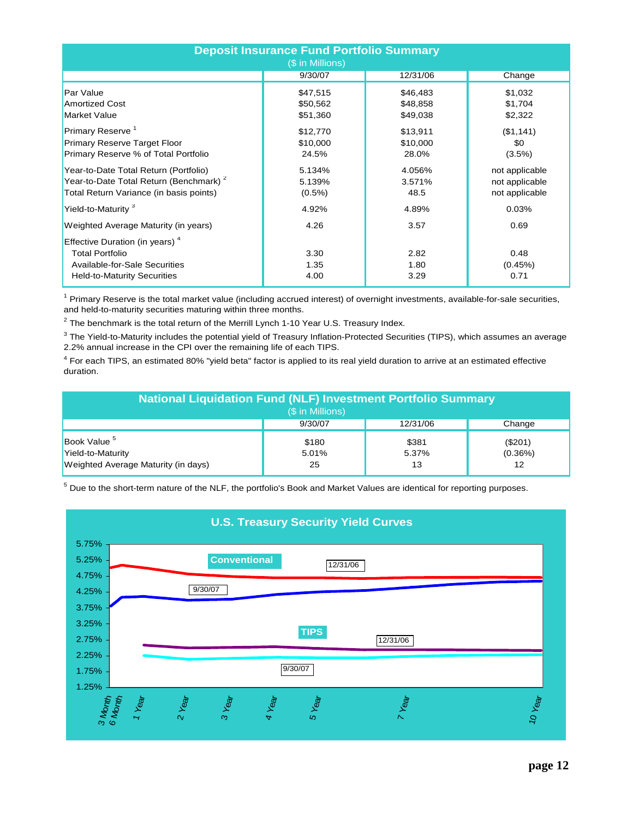| <b>Deposit Insurance Fund Portfolio Summary</b><br>(\$ in Millions)                |           |          |                |  |  |  |  |
|------------------------------------------------------------------------------------|-----------|----------|----------------|--|--|--|--|
|                                                                                    | 9/30/07   | 12/31/06 | Change         |  |  |  |  |
| Par Value                                                                          | \$47,515  | \$46,483 | \$1,032        |  |  |  |  |
| <b>Amortized Cost</b>                                                              | \$50,562  | \$48,858 | \$1,704        |  |  |  |  |
| <b>Market Value</b>                                                                | \$51,360  | \$49,038 | \$2,322        |  |  |  |  |
| Primary Reserve <sup>1</sup>                                                       | \$12,770  | \$13,911 | (\$1,141)      |  |  |  |  |
| Primary Reserve Target Floor                                                       | \$10,000  | \$10,000 | \$0            |  |  |  |  |
| Primary Reserve % of Total Portfolio                                               | 24.5%     | 28.0%    | $(3.5\%)$      |  |  |  |  |
| Year-to-Date Total Return (Portfolio)                                              | 5.134%    | 4.056%   | not applicable |  |  |  |  |
| Year-to-Date Total Return (Benchmark) <sup>2</sup>                                 | 5.139%    | 3.571%   | not applicable |  |  |  |  |
| Total Return Variance (in basis points)                                            | $(0.5\%)$ | 48.5     | not applicable |  |  |  |  |
| Yield-to-Maturity <sup>3</sup>                                                     | 4.92%     | 4.89%    | 0.03%          |  |  |  |  |
| Weighted Average Maturity (in years)<br>Effective Duration (in years) <sup>4</sup> | 4.26      | 3.57     | 0.69           |  |  |  |  |
| <b>Total Portfolio</b>                                                             | 3.30      | 2.82     | 0.48           |  |  |  |  |
| Available-for-Sale Securities                                                      | 1.35      | 1.80     | (0.45%)        |  |  |  |  |
| <b>Held-to-Maturity Securities</b>                                                 | 4.00      | 3.29     | 0.71           |  |  |  |  |

<sup>1</sup> Primary Reserve is the total market value (including accrued interest) of overnight investments, available-for-sale securities, and held-to-maturity securities maturing within three months.

 $^2$  The benchmark is the total return of the Merrill Lynch 1-10 Year U.S. Treasury Index.

 $^3$  The Yield-to-Maturity includes the potential yield of Treasury Inflation-Protected Securities (TIPS), which assumes an average 2.2% annual increase in the CPI over the remaining life of each TIPS.

<sup>4</sup> For each TIPS, an estimated 80% "yield beta" factor is applied to its real yield duration to arrive at an estimated effective duration.

| <b>National Liquidation Fund (NLF) Investment Portfolio Summary</b><br>(\$ in Millions)                                                                            |  |  |  |  |  |  |  |  |
|--------------------------------------------------------------------------------------------------------------------------------------------------------------------|--|--|--|--|--|--|--|--|
| 9/30/07<br>12/31/06<br>Change                                                                                                                                      |  |  |  |  |  |  |  |  |
| Book Value <sup>5</sup><br>\$180<br>\$381<br>(\$201)<br>Yield-to-Maturity<br>5.37%<br>5.01%<br>$(0.36\%)$<br>Weighted Average Maturity (in days)<br>12<br>25<br>13 |  |  |  |  |  |  |  |  |

 $^5$  Due to the short-term nature of the NLF, the portfolio's Book and Market Values are identical for reporting purposes.

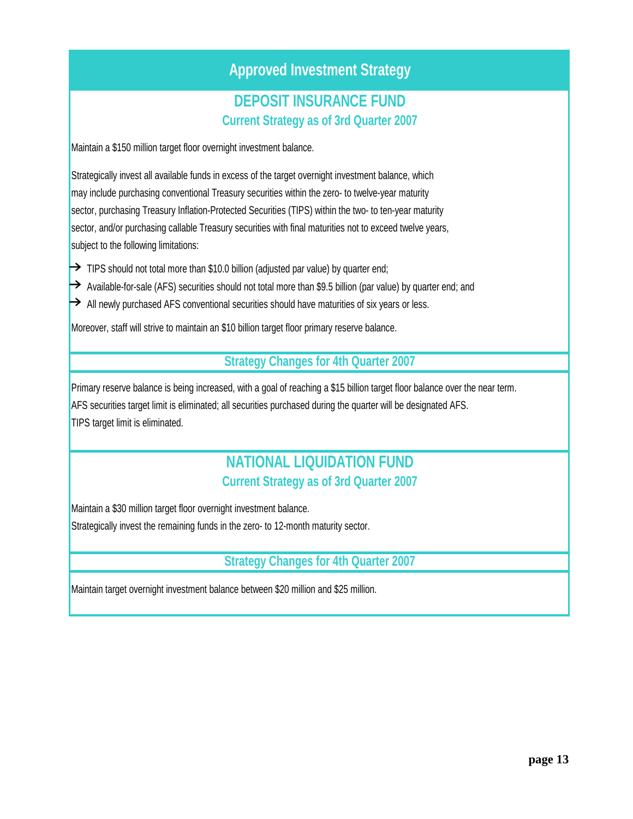## **Approved Investment Strategy**

### **Current Strategy as of 3rd Quarter 2007 DEPOSIT INSURANCE FUND**

Maintain a \$150 million target floor overnight investment balance.

Strategically invest all available funds in excess of the target overnight investment balance, which may include purchasing conventional Treasury securities within the zero- to twelve-year maturity sector, purchasing Treasury Inflation-Protected Securities (TIPS) within the two- to ten-year maturity sector, and/or purchasing callable Treasury securities with final maturities not to exceed twelve years, subject to the following limitations:

- $\rightarrow$  TIPS should not total more than \$10.0 billion (adjusted par value) by quarter end;
- $\rightarrow$  Available-for-sale (AFS) securities should not total more than \$9.5 billion (par value) by quarter end; and
- $\rightarrow$  All newly purchased AFS conventional securities should have maturities of six years or less.

Moreover, staff will strive to maintain an \$10 billion target floor primary reserve balance.

#### **Strategy Changes for 4th Quarter 2007**

TIPS target limit is eliminated. Primary reserve balance is being increased, with a goal of reaching a \$15 billion target floor balance over the near term. AFS securities target limit is eliminated; all securities purchased during the quarter will be designated AFS.

### **NATIONAL LIQUIDATION FUND Current Strategy as of 3rd Quarter 2007**

Maintain a \$30 million target floor overnight investment balance. Strategically invest the remaining funds in the zero- to 12-month maturity sector.

### **Strategy Changes for 4th Quarter 2007**

Maintain target overnight investment balance between \$20 million and \$25 million.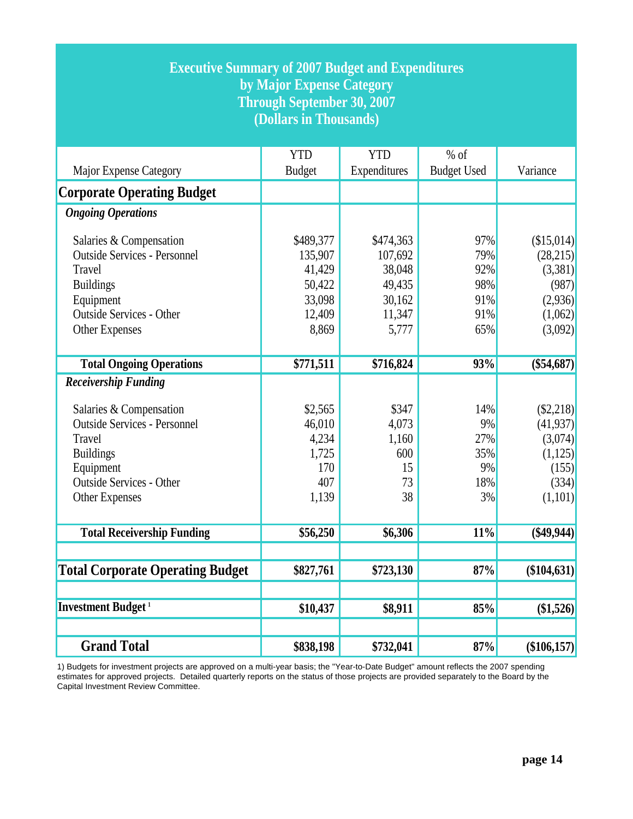| <b>Executive Summary of 2007 Budget and Expenditures</b><br>by Major Expense Category<br><b>Through September 30, 2007</b><br>(Dollars in Thousands)                                                 |                                                                       |                                                                       |                                               |                                                                             |  |  |  |
|------------------------------------------------------------------------------------------------------------------------------------------------------------------------------------------------------|-----------------------------------------------------------------------|-----------------------------------------------------------------------|-----------------------------------------------|-----------------------------------------------------------------------------|--|--|--|
| Major Expense Category                                                                                                                                                                               | <b>YTD</b><br><b>Budget</b>                                           | <b>YTD</b><br>Expenditures                                            | $%$ of<br><b>Budget Used</b>                  | Variance                                                                    |  |  |  |
| <b>Corporate Operating Budget</b>                                                                                                                                                                    |                                                                       |                                                                       |                                               |                                                                             |  |  |  |
| <b>Ongoing Operations</b>                                                                                                                                                                            |                                                                       |                                                                       |                                               |                                                                             |  |  |  |
| Salaries & Compensation<br><b>Outside Services - Personnel</b><br>Travel<br><b>Buildings</b><br>Equipment<br><b>Outside Services - Other</b><br>Other Expenses                                       | \$489,377<br>135,907<br>41,429<br>50,422<br>33,098<br>12,409<br>8,869 | \$474,363<br>107,692<br>38,048<br>49,435<br>30,162<br>11,347<br>5,777 | 97%<br>79%<br>92%<br>98%<br>91%<br>91%<br>65% | (\$15,014)<br>(28,215)<br>(3,381)<br>(987)<br>(2,936)<br>(1,062)<br>(3,092) |  |  |  |
| <b>Total Ongoing Operations</b>                                                                                                                                                                      | \$771,511                                                             | \$716,824                                                             | 93%                                           | $(\$54,687)$                                                                |  |  |  |
| <b>Receivership Funding</b><br>Salaries & Compensation<br><b>Outside Services - Personnel</b><br>Travel<br><b>Buildings</b><br>Equipment<br><b>Outside Services - Other</b><br><b>Other Expenses</b> | \$2,565<br>46,010<br>4,234<br>1,725<br>170<br>407<br>1,139            | \$347<br>4,073<br>1,160<br>600<br>15<br>73<br>38                      | 14%<br>9%<br>27%<br>35%<br>9%<br>18%<br>3%    | (S2,218)<br>(41, 937)<br>(3,074)<br>(1,125)<br>(155)<br>(334)<br>(1,101)    |  |  |  |
| <b>Total Receivership Funding</b>                                                                                                                                                                    | \$56,250                                                              | \$6,306                                                               | 11%                                           | $(\$49,944)$                                                                |  |  |  |
| <b>Total Corporate Operating Budget</b>                                                                                                                                                              | \$827,761                                                             | \$723,130                                                             | 87%                                           | (\$104,631)                                                                 |  |  |  |
| <b>Investment Budget</b> <sup>1</sup>                                                                                                                                                                | \$10,437                                                              | \$8,911                                                               | 85%                                           | (\$1,526)                                                                   |  |  |  |
| <b>Grand Total</b>                                                                                                                                                                                   | \$838,198                                                             | \$732,041                                                             | 87%                                           | (\$106,157)                                                                 |  |  |  |

1) Budgets for investment projects are approved on a multi-year basis; the "Year-to-Date Budget" amount reflects the 2007 spending estimates for approved projects. Detailed quarterly reports on the status of those projects are provided separately to the Board by the Capital Investment Review Committee.